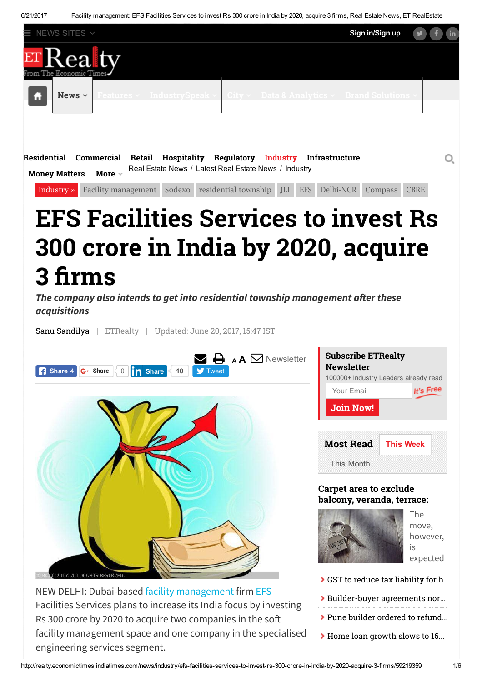6/21/2017 Facility management: EFS Facilities Services to invest Rs 300 crore in India by 2020, acquire 3 firms, Real Estate News, ET RealEstate



## EFS Facilities Services to invest Rs 300 crore in India by 2020, acquire 3 firms

[Industry](http://realty.economictimes.indiatimes.com/news/industry) » Facility [management](http://realty.economictimes.indiatimes.com/tag/facility+management) [Sodexo](http://realty.economictimes.indiatimes.com/tag/sodexo) [residential](http://realty.economictimes.indiatimes.com/tag/residential+township) township [JLL](http://realty.economictimes.indiatimes.com/tag/jll) [EFS](http://realty.economictimes.indiatimes.com/tag/efs) [Delhi-NCR](http://realty.economictimes.indiatimes.com/tag/delhi-ncr) [Compass](http://realty.economictimes.indiatimes.com/tag/compass) [CBRE](http://realty.economictimes.indiatimes.com/tag/cbre)

The company also intends to get into residential township management after these acquisitions

Sanu [Sandilya](http://realty.economictimes.indiatimes.com/author/479238876/sanu-sandilya) | ETRealty | Updated: June 20, 2017, 15:47 IST



Facilities Services plans to increase its India focus by investing Rs 300 crore by 2020 to acquire two companies in the so facility management space and one company in the specialised engineering services segment.

Pune builder ordered to refund. Home loan [growth](http://realty.economictimes.indiatimes.com/news/allied-industries/home-loan-growth-slows-to-16-in-fy17-on-overall-slowdown-demonetisation/59234440) slows to 16...